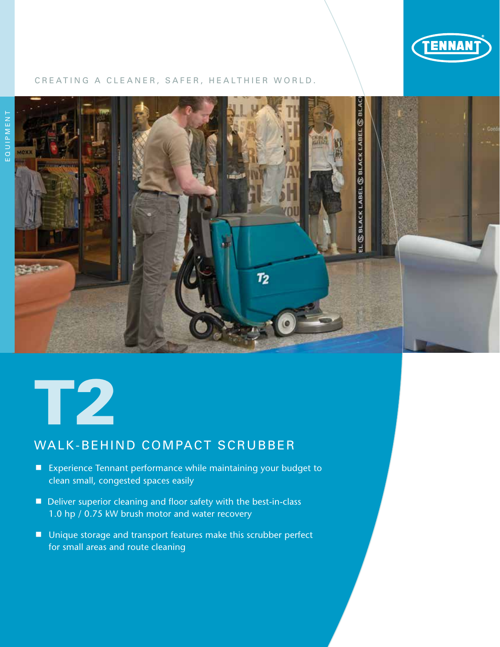

### CREATING A CLEANER, SAFER, HEALTHIER WORLD.





# WALK-BEHIND COMPACT SCRUBBER

- Experience Tennant performance while maintaining your budget to clean small, congested spaces easily
- Deliver superior cleaning and floor safety with the best-in-class 1.0 hp / 0.75 kW brush motor and water recovery
- Unique storage and transport features make this scrubber perfect for small areas and route cleaning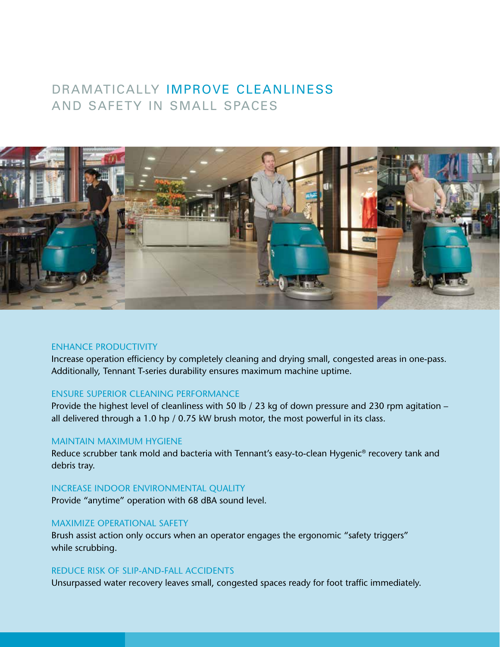# DRAMATICALLY IMPROVE CLEANLINESS AND SAFETY IN SMALL SPACES



# ENHANCE PRODUCTIVITY

Increase operation efficiency by completely cleaning and drying small, congested areas in one-pass. Additionally, Tennant T-series durability ensures maximum machine uptime.

# ENSURE SUPERIOR CLEANING PERFORMANCE

Provide the highest level of cleanliness with 50 lb / 23 kg of down pressure and 230 rpm agitation – all delivered through a 1.0 hp / 0.75 kW brush motor, the most powerful in its class.

# MAINTAIN MAXIMUM HYGIENE

Reduce scrubber tank mold and bacteria with Tennant's easy-to-clean Hygenic® recovery tank and debris tray.

# INCREASE INDOOR ENVIRONMENTAL QUALITY

Provide "anytime" operation with 68 dBA sound level.

# MAXIMIZE OPERATIONAL SAFETY

Brush assist action only occurs when an operator engages the ergonomic "safety triggers" while scrubbing.

# REDUCE RISK OF SLIP-AND-FALL ACCIDENTS

Unsurpassed water recovery leaves small, congested spaces ready for foot traffic immediately.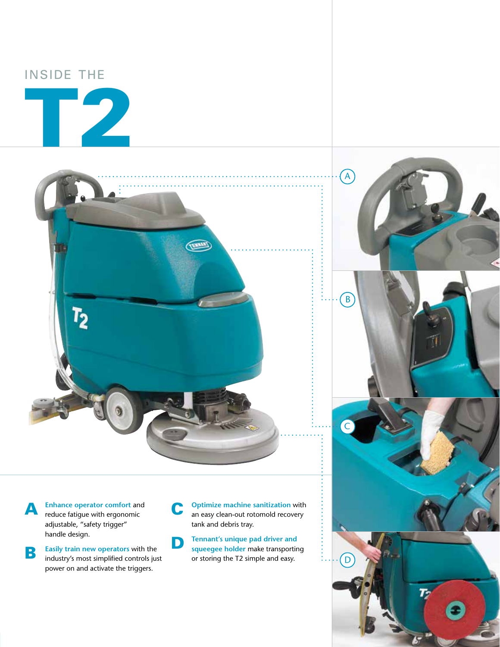# INSIDE THE





**A** Enhance operator comfort and reduce fatigue with ergonomic adjustable, "safety trigger" handle design.

**B** Easily train new operators with the industry's most simplified controls just power on and activate the triggers.

C **Optimize machine sanitization** with an easy clean-out rotomold recovery tank and debris tray.

B

A

C

D

**D Tennant's unique pad driver and squeegee holder make transporting** or storing the T2 simple and easy.